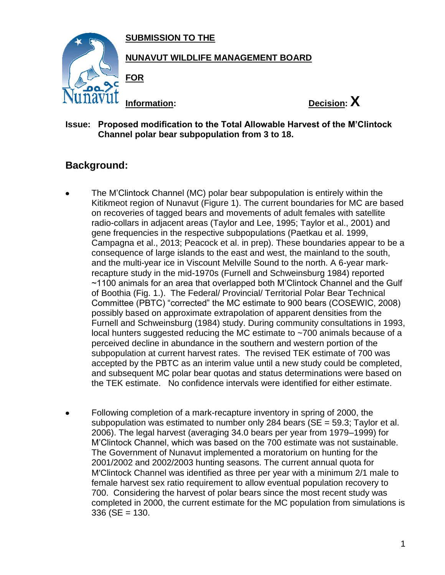**SUBMISSION TO THE**



### **NUNAVUT WILDLIFE MANAGEMENT BOARD**

**FOR**



### **Issue: Proposed modification to the Total Allowable Harvest of the M'Clintock Channel polar bear subpopulation from 3 to 18.**

# **Background:**

- The M'Clintock Channel (MC) polar bear subpopulation is entirely within the  $\bullet$ Kitikmeot region of Nunavut (Figure 1). The current boundaries for MC are based on recoveries of tagged bears and movements of adult females with satellite radio-collars in adjacent areas (Taylor and Lee, 1995; Taylor et al., 2001) and gene frequencies in the respective subpopulations (Paetkau et al. 1999, Campagna et al., 2013; Peacock et al. in prep). These boundaries appear to be a consequence of large islands to the east and west, the mainland to the south, and the multi-year ice in Viscount Melville Sound to the north. A 6-year markrecapture study in the mid-1970s (Furnell and Schweinsburg 1984) reported ~1100 animals for an area that overlapped both M'Clintock Channel and the Gulf of Boothia (Fig. 1.). The Federal/ Provincial/ Territorial Polar Bear Technical Committee (PBTC) "corrected" the MC estimate to 900 bears (COSEWIC, 2008) possibly based on approximate extrapolation of apparent densities from the Furnell and Schweinsburg (1984) study. During community consultations in 1993, local hunters suggested reducing the MC estimate to ~700 animals because of a perceived decline in abundance in the southern and western portion of the subpopulation at current harvest rates. The revised TEK estimate of 700 was accepted by the PBTC as an interim value until a new study could be completed, and subsequent MC polar bear quotas and status determinations were based on the TEK estimate. No confidence intervals were identified for either estimate.
- Following completion of a mark-recapture inventory in spring of 2000, the  $\bullet$ subpopulation was estimated to number only 284 bears ( $SE = 59.3$ ; Taylor et al. 2006). The legal harvest (averaging 34.0 bears per year from 1979–1999) for M'Clintock Channel, which was based on the 700 estimate was not sustainable. The Government of Nunavut implemented a moratorium on hunting for the 2001/2002 and 2002/2003 hunting seasons. The current annual quota for M'Clintock Channel was identified as three per year with a minimum 2/1 male to female harvest sex ratio requirement to allow eventual population recovery to 700. Considering the harvest of polar bears since the most recent study was completed in 2000, the current estimate for the MC population from simulations is  $336$  (SE = 130.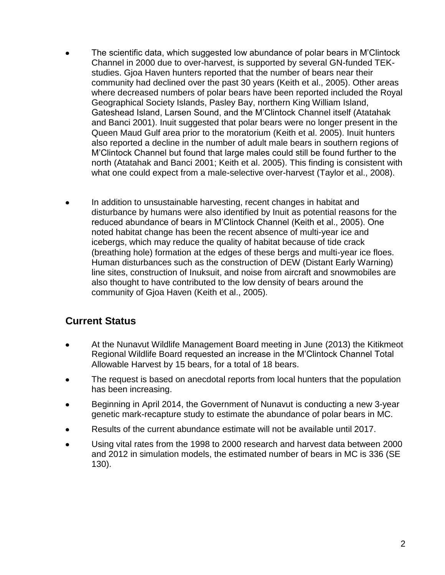- The scientific data, which suggested low abundance of polar bears in M'Clintock  $\bullet$ Channel in 2000 due to over-harvest, is supported by several GN-funded TEKstudies. Gjoa Haven hunters reported that the number of bears near their community had declined over the past 30 years (Keith et al., 2005). Other areas where decreased numbers of polar bears have been reported included the Royal Geographical Society Islands, Pasley Bay, northern King William Island, Gateshead Island, Larsen Sound, and the M'Clintock Channel itself (Atatahak and Banci 2001). Inuit suggested that polar bears were no longer present in the Queen Maud Gulf area prior to the moratorium (Keith et al. 2005). Inuit hunters also reported a decline in the number of adult male bears in southern regions of M'Clintock Channel but found that large males could still be found further to the north (Atatahak and Banci 2001; Keith et al. 2005). This finding is consistent with what one could expect from a male-selective over-harvest (Taylor et al., 2008).
- In addition to unsustainable harvesting, recent changes in habitat and disturbance by humans were also identified by Inuit as potential reasons for the reduced abundance of bears in M'Clintock Channel (Keith et al., 2005). One noted habitat change has been the recent absence of multi-year ice and icebergs, which may reduce the quality of habitat because of tide crack (breathing hole) formation at the edges of these bergs and multi-year ice floes. Human disturbances such as the construction of DEW (Distant Early Warning) line sites, construction of Inuksuit, and noise from aircraft and snowmobiles are also thought to have contributed to the low density of bears around the community of Gjoa Haven (Keith et al., 2005).

# **Current Status**

- At the Nunavut Wildlife Management Board meeting in June (2013) the Kitikmeot  $\bullet$ Regional Wildlife Board requested an increase in the M'Clintock Channel Total Allowable Harvest by 15 bears, for a total of 18 bears.
- The request is based on anecdotal reports from local hunters that the population  $\bullet$ has been increasing.
- Beginning in April 2014, the Government of Nunavut is conducting a new 3-year genetic mark-recapture study to estimate the abundance of polar bears in MC.
- Results of the current abundance estimate will not be available until 2017.
- Using vital rates from the 1998 to 2000 research and harvest data between 2000  $\bullet$ and 2012 in simulation models, the estimated number of bears in MC is 336 (SE 130).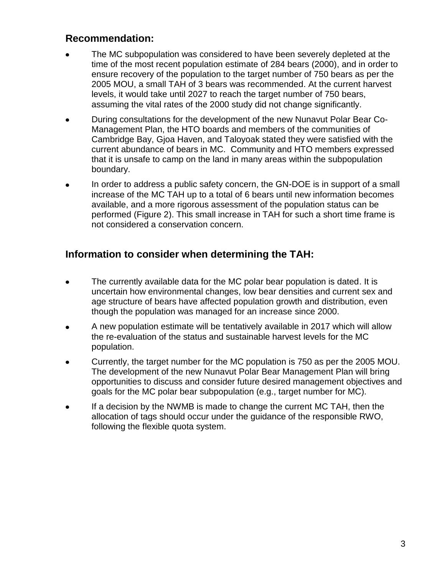## **Recommendation:**

- The MC subpopulation was considered to have been severely depleted at the time of the most recent population estimate of 284 bears (2000), and in order to ensure recovery of the population to the target number of 750 bears as per the 2005 MOU, a small TAH of 3 bears was recommended. At the current harvest levels, it would take until 2027 to reach the target number of 750 bears, assuming the vital rates of the 2000 study did not change significantly.
- During consultations for the development of the new Nunavut Polar Bear Co- $\bullet$ Management Plan, the HTO boards and members of the communities of Cambridge Bay, Gjoa Haven, and Taloyoak stated they were satisfied with the current abundance of bears in MC. Community and HTO members expressed that it is unsafe to camp on the land in many areas within the subpopulation boundary.
- In order to address a public safety concern, the GN-DOE is in support of a small increase of the MC TAH up to a total of 6 bears until new information becomes available, and a more rigorous assessment of the population status can be performed (Figure 2). This small increase in TAH for such a short time frame is not considered a conservation concern.

# **Information to consider when determining the TAH:**

- The currently available data for the MC polar bear population is dated. It is  $\bullet$ uncertain how environmental changes, low bear densities and current sex and age structure of bears have affected population growth and distribution, even though the population was managed for an increase since 2000.
- A new population estimate will be tentatively available in 2017 which will allow the re-evaluation of the status and sustainable harvest levels for the MC population.
- Currently, the target number for the MC population is 750 as per the 2005 MOU. The development of the new Nunavut Polar Bear Management Plan will bring opportunities to discuss and consider future desired management objectives and goals for the MC polar bear subpopulation (e.g., target number for MC).
- If a decision by the NWMB is made to change the current MC TAH, then the allocation of tags should occur under the guidance of the responsible RWO, following the flexible quota system.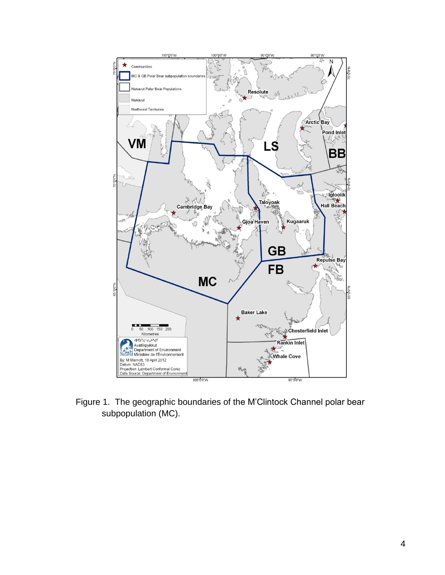

Figure 1. The geographic boundaries of the M'Clintock Channel polar bear subpopulation (MC).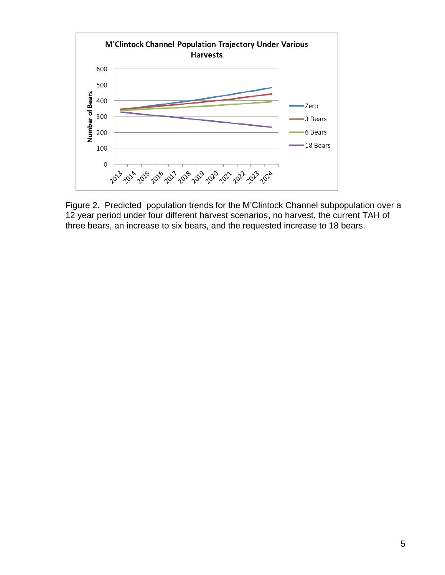

Figure 2. Predicted population trends for the M'Clintock Channel subpopulation over a 12 year period under four different harvest scenarios, no harvest, the current TAH of three bears, an increase to six bears, and the requested increase to 18 bears.